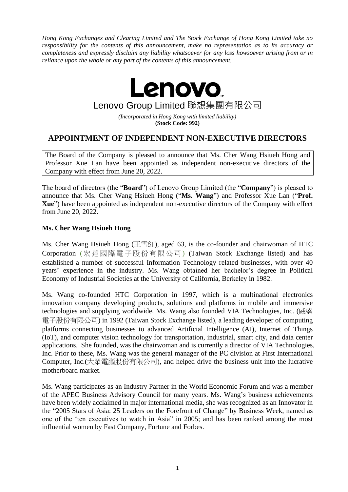*Hong Kong Exchanges and Clearing Limited and The Stock Exchange of Hong Kong Limited take no responsibility for the contents of this announcement, make no representation as to its accuracy or completeness and expressly disclaim any liability whatsoever for any loss howsoever arising from or in reliance upon the whole or any part of the contents of this announcement.*

> **Lenovo** Lenovo Group Limited 聯想集團有限公司

*(Incorporated in Hong Kong with limited liability)* **(Stock Code: 992)**

## **APPOINTMENT OF INDEPENDENT NON-EXECUTIVE DIRECTORS**

The Board of the Company is pleased to announce that Ms. Cher Wang Hsiueh Hong and Professor Xue Lan have been appointed as independent non-executive directors of the Company with effect from June 20, 2022.

The board of directors (the "**Board**") of Lenovo Group Limited (the "**Company**") is pleased to announce that Ms. Cher Wang Hsiueh Hong ("**Ms. Wang**") and Professor Xue Lan ("**Prof. Xue**") have been appointed as independent non-executive directors of the Company with effect from June 20, 2022.

## **Ms. Cher Wang Hsiueh Hong**

Ms. Cher Wang Hsiueh Hong (王雪紅), aged 63, is the co-founder and chairwoman of HTC Corporation (宏達國際電子股份有限公司) (Taiwan Stock Exchange listed) and has established a number of successful Information Technology related businesses, with over 40 years' experience in the industry. Ms. Wang obtained her bachelor's degree in Political Economy of Industrial Societies at the University of California, Berkeley in 1982.

Ms. Wang co-founded HTC Corporation in 1997, which is a multinational electronics innovation company developing products, solutions and platforms in mobile and immersive technologies and supplying worldwide. Ms. Wang also founded VIA Technologies, Inc. (威盛 電子股份有限公司) in 1992 (Taiwan Stock Exchange listed), a leading developer of computing platforms connecting businesses to advanced Artificial Intelligence (AI), Internet of Things (IoT), and computer vision technology for transportation, industrial, smart city, and data center applications. She founded, was the chairwoman and is currently a director of VIA Technologies, Inc. Prior to these, Ms. Wang was the general manager of the PC division at First International Computer, Inc.(大眾電腦股份有限公司), and helped drive the business unit into the lucrative motherboard market.

Ms. Wang participates as an Industry Partner in the World Economic Forum and was a member of the APEC Business Advisory Council for many years. Ms. Wang's business achievements have been widely acclaimed in major international media, she was recognized as an Innovator in the "2005 Stars of Asia: 25 Leaders on the Forefront of Change" by Business Week, named as one of the 'ten executives to watch in Asia" in 2005; and has been ranked among the most influential women by Fast Company, Fortune and Forbes.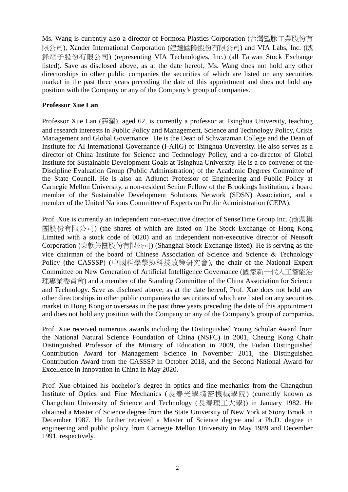Ms. Wang is currently also a director of Formosa Plastics Corporation (台灣塑膠工業股份有 限公司), Xander International Corporation (建達國際股份有限公司) and VIA Labs, Inc. (威 鋒電子股份有限公司) (representing VIA Technologies, Inc.) (all Taiwan Stock Exchange listed). Save as disclosed above, as at the date hereof, Ms. Wang does not hold any other directorships in other public companies the securities of which are listed on any securities market in the past three years preceding the date of this appointment and does not hold any position with the Company or any of the Company's group of companies.

## **Professor Xue Lan**

Professor Xue Lan (薛瀾), aged 62, is currently a professor at Tsinghua University, teaching and research interests in Public Policy and Management, Science and Technology Policy, Crisis Management and Global Governance. He is the Dean of Schwarzman College and the Dean of Institute for AI International Governance (I-AIIG) of Tsinghua University. He also serves as a director of China Institute for Science and Technology Policy, and a co-director of Global Institute for Sustainable Development Goals at Tsinghua University. He is a co-convener of the Discipline Evaluation Group (Public Administration) of the Academic Degrees Committee of the State Council. He is also an Adjunct Professor of Engineering and Public Policy at Carnegie Mellon University, a non-resident Senior Fellow of the Brookings Institution, a board member of the Sustainable Development Solutions Network (SDSN) Association, and a member of the United Nations Committee of Experts on Public Administration (CEPA).

Prof. Xue is currently an independent non-executive director of SenseTime Group Inc. (商湯集 團股份有限公司) (the shares of which are listed on The Stock Exchange of Hong Kong Limited with a stock code of 0020) and an independent non-executive director of Neusoft Corporation (東軟集團股份有限公司) (Shanghai Stock Exchange listed). He is serving as the vice chairman of the board of Chinese Association of Science and Science & Technology Policy (the CASSSP) (中國科學學與科技政策研究會), the chair of the National Expert Committee on New Generation of Artificial Intelligence Governance (國家新一代人工智能治 理專業委員會) and a member of the Standing Committee of the China Association for Science and Technology. Save as disclosed above, as at the date hereof, Prof. Xue does not hold any other directorships in other public companies the securities of which are listed on any securities market in Hong Kong or overseas in the past three years preceding the date of this appointment and does not hold any position with the Company or any of the Company's group of companies.

Prof. Xue received numerous awards including the Distinguished Young Scholar Award from the National Natural Science Foundation of China (NSFC) in 2001, Cheung Kong Chair Distinguished Professor of the Ministry of Education in 2009, the Fudan Distinguished Contribution Award for Management Science in November 2011, the Distinguished Contribution Award from the CASSSP in October 2018, and the Second National Award for Excellence in Innovation in China in May 2020.

Prof. Xue obtained his bachelor's degree in optics and fine mechanics from the Changchun Institute of Optics and Fine Mechanics (長春光學精密機械學院) (currently known as Changchun University of Science and Technology (長春理工大學)) in January 1982. He obtained a Master of Science degree from the State University of New York at Stony Brook in December 1987. He further received a Master of Science degree and a Ph.D. degree in engineering and public policy from Carnegie Mellon University in May 1989 and December 1991, respectively.